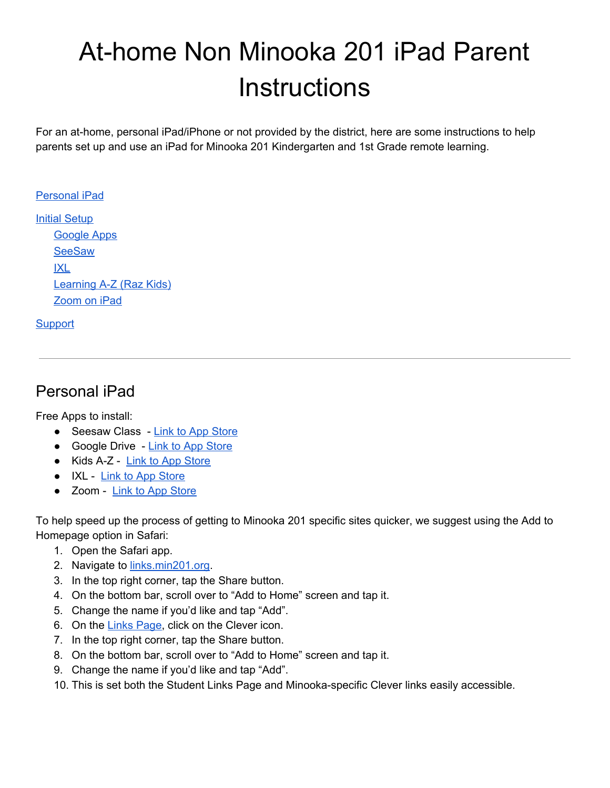# At-home Non Minooka 201 iPad Parent **Instructions**

For an at-home, personal iPad/iPhone or not provided by the district, here are some instructions to help parents set up and use an iPad for Minooka 201 Kindergarten and 1st Grade remote learning.

#### [Personal](#page-0-0) iPad

**Initial [Setup](#page-1-0)** [Google](#page-2-0) Apps **[SeeSaw](#page-3-0)** [IXL](#page-3-1) [Learning](#page-4-0) A-Z (Raz Kids) [Zoom](#page-4-1) on iPad

#### **[Support](#page-4-2)**

## <span id="page-0-0"></span>Personal iPad

Free Apps to install:

- Seesaw Class Link to App [Store](https://apps.apple.com/us/app/seesaw-class/id930565184)
- Google Drive Link to App [Store](https://apps.apple.com/us/app/google-drive/id507874739)
- Kids A-Z Link to App [Store](https://apps.apple.com/us/app/kids-a-z/id474207297)
- IXL Link to App [Store](https://apps.apple.com/us/app/ixl/id693689912)
- Zoom Link to App [Store](https://apps.apple.com/us/app/zoom-cloud-meetings/id546505307)

To help speed up the process of getting to Minooka 201 specific sites quicker, we suggest using the Add to Homepage option in Safari:

- 1. Open the Safari app.
- 2. Navigate to **links.min201.org**.
- 3. In the top right corner, tap the Share button.
- 4. On the bottom bar, scroll over to "Add to Home" screen and tap it.
- 5. Change the name if you'd like and tap "Add".
- 6. On the Links [Page,](https://links.min201.org/) click on the Clever icon.
- 7. In the top right corner, tap the Share button.
- 8. On the bottom bar, scroll over to "Add to Home" screen and tap it.
- 9. Change the name if you'd like and tap "Add".
- 10. This is set both the Student Links Page and Minooka-specific Clever links easily accessible.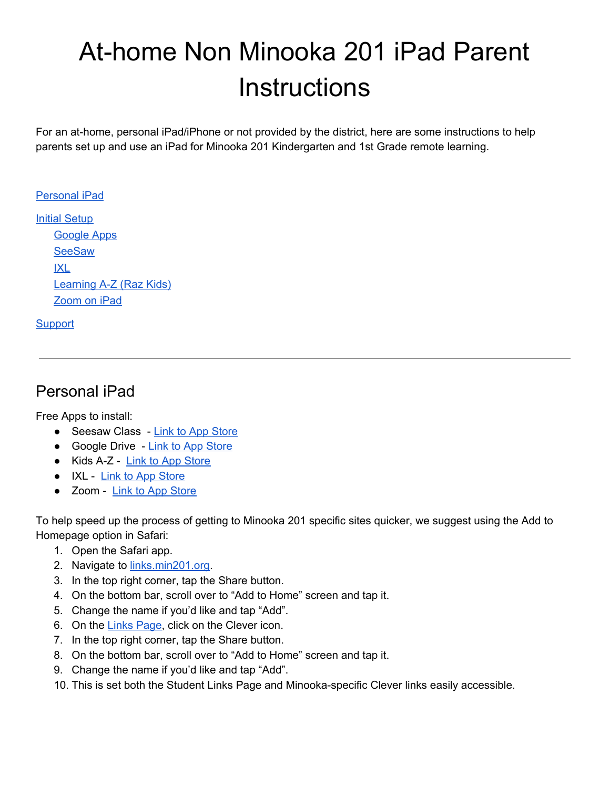

<span id="page-1-0"></span> $\overline{D}$ 

# Initial Setup

Once you have the apps from above installed we must first sign your student into the google drive app. If you already have the [Google](https://docs.google.com/document/d/1fcMalobnddYqZ7L-LxE_H7Nxqcb9QIPnOExnN17jIEk/edit#bookmark=id.tyl7xvc3dro1) Drive app installed follow the instructions in the Google Apps section and return here to continue.

- 1. Open the Google Drive app and click the blue sign in button.
- 2. Now we will type in your student's email address found on their login card
- 3. Press Next
- 4. Enter your student's password and sign in.

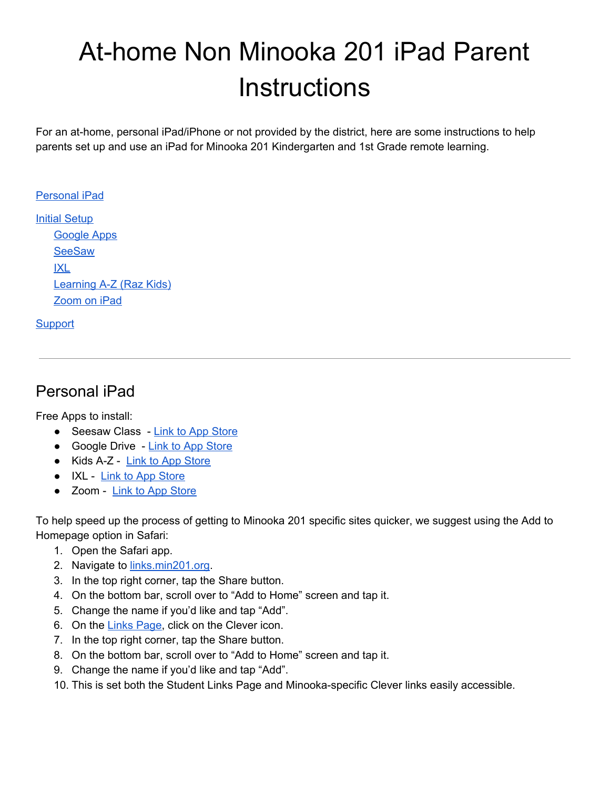Now that we have your student logged into their Google Account we can begin setting up the other apps listed above

- 1. Go to the Home Screen
- 2. Tap on the Clever shortcut we made earlier
- 3. Choose Login with Google

Once signed in this will bring you to the Clever portal. From here your student will access their resources.



<span id="page-2-0"></span> $\overline{D}$ 

### Google Apps

If you are already logged into Google on your personal account, you can also log into your students account and switch between them in Google-driven apps.

To add your student's Google Account:

- 1. Open Google Drive app
- 2. Tap on the avatar icon of the logged in account in the top right corner.
- 3. If you student is not logged in already:
	- a. Tap "Add another account"
	- b. Enter your student's min201.org email address and password

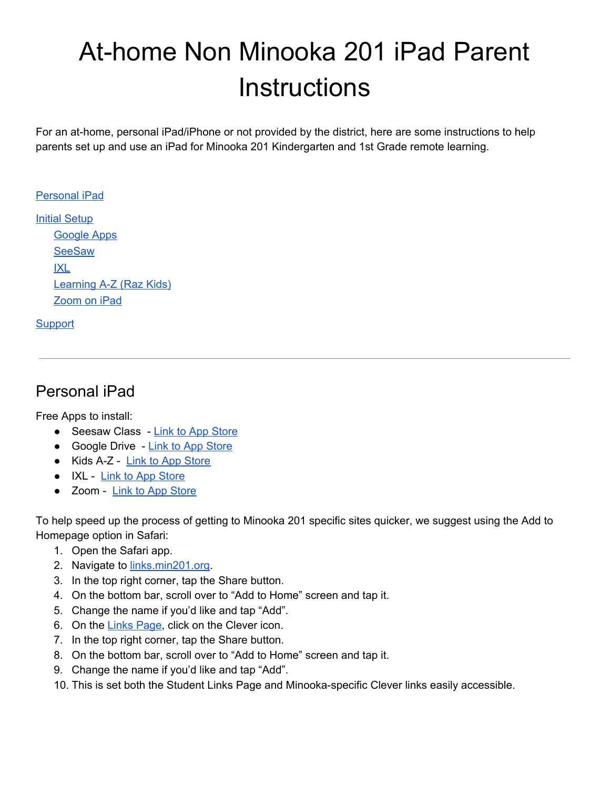#### <span id="page-3-0"></span>**SeeSaw**

This is the main application for communication and remote instruction.

- 1. From the home screen tap on the Clever shortcut we made earlier Login if need be.
- 2. Tap on the SeeSaw icon and that should open the Seesaw app and log the student in.



From now on you can use the SeeSaw app directly and the student will be logged automatically.

<span id="page-3-1"></span> $\overline{D}$ 

IXL

- 1. From the home screen tap the Clever shortcut we made earlier to open the Clever portal
- 2. Now tap on the IXL icon.
- 3. This will open the IXL app
- 4. If prompted to save the login tap Save
- 5. Student should now be logged in to the IXL app





Moving forward you can go directly to the IXL app, without signing into Clever first.